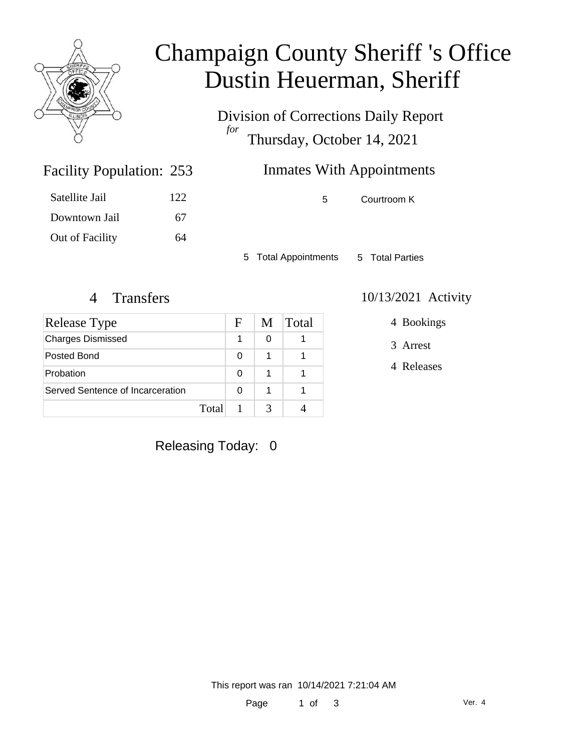

# Champaign County Sheriff 's Office Dustin Heuerman, Sheriff

Division of Corrections Daily Report *for* Thursday, October 14, 2021

## Inmates With Appointments

5 Courtroom K

5 Total Appointments 5 Total Parties

Facility Population: 253

Satellite Jail 122

Downtown Jail 67

Out of Facility 64

| Release Type                     |       | F | M | Total |
|----------------------------------|-------|---|---|-------|
| <b>Charges Dismissed</b>         |       |   | 0 |       |
| Posted Bond                      |       | 0 | 1 |       |
| Probation                        |       | 0 | 1 |       |
| Served Sentence of Incarceration |       | 0 | 1 |       |
|                                  | Total |   |   |       |

#### 4 Transfers 10/13/2021 Activity

4 Bookings

3 Arrest

4 Releases

### Releasing Today: 0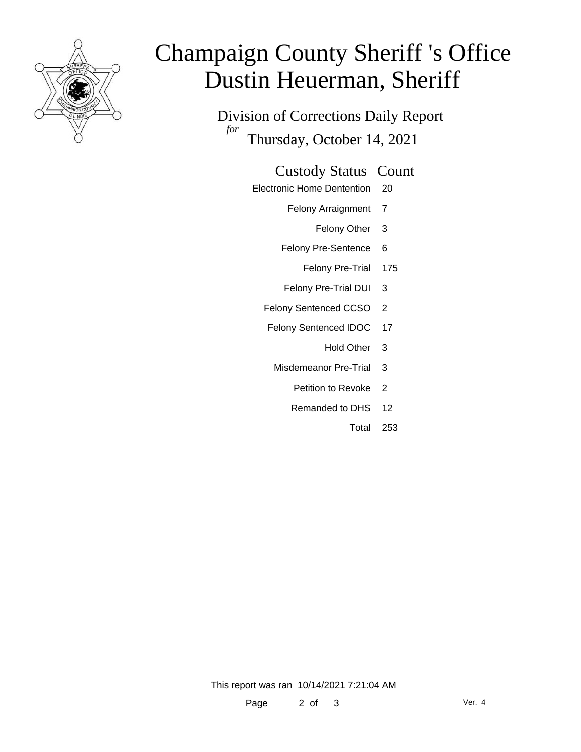

# Champaign County Sheriff 's Office Dustin Heuerman, Sheriff

Division of Corrections Daily Report *for* Thursday, October 14, 2021

#### Custody Status Count

- Electronic Home Dentention 20
	- Felony Arraignment 7
		- Felony Other 3
	- Felony Pre-Sentence 6
		- Felony Pre-Trial 175
	- Felony Pre-Trial DUI 3
	- Felony Sentenced CCSO 2
	- Felony Sentenced IDOC 17
		- Hold Other 3
		- Misdemeanor Pre-Trial 3
			- Petition to Revoke 2
			- Remanded to DHS 12
				- Total 253

This report was ran 10/14/2021 7:21:04 AM